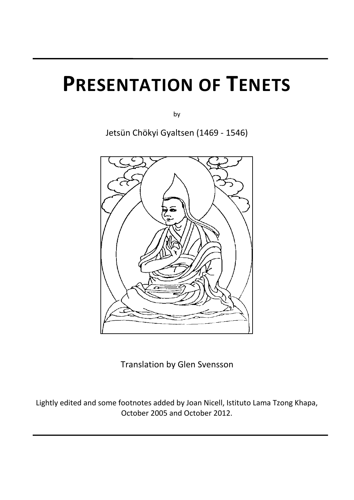# **PRESENTATION OF TENETS**

by

Jetsün Chökyi Gyaltsen (1469 - 1546)



Translation by Glen Svensson

Lightly edited and some footnotes added by Joan Nicell, Istituto Lama Tzong Khapa, October 2005 and October 2012.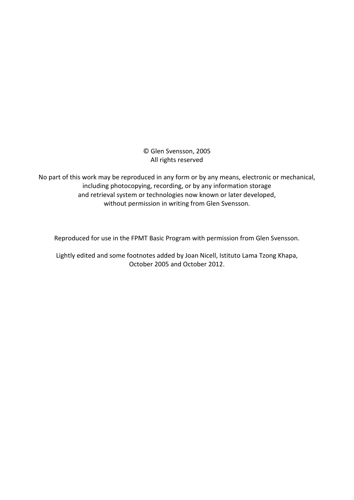© Glen Svensson, 2005 All rights reserved

No part of this work may be reproduced in any form or by any means, electronic or mechanical, including photocopying, recording, or by any information storage and retrieval system or technologies now known or later developed, without permission in writing from Glen Svensson.

Reproduced for use in the FPMT Basic Program with permission from Glen Svensson.

Lightly edited and some footnotes added by Joan Nicell, Istituto Lama Tzong Khapa, October 2005 and October 2012.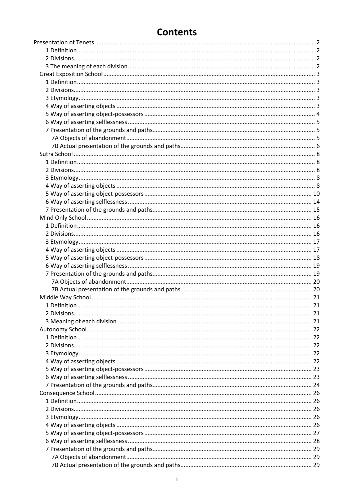# **Contents**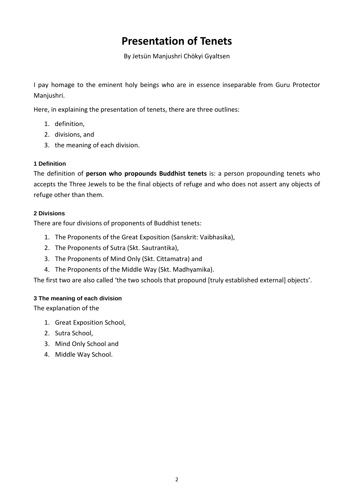# **Presentation of Tenets**

By Jetsün Manjushri Chökyi Gyaltsen

<span id="page-3-0"></span>I pay homage to the eminent holy beings who are in essence inseparable from Guru Protector Manjushri.

Here, in explaining the presentation of tenets, there are three outlines:

- 1. definition,
- 2. divisions, and
- 3. the meaning of each division.

# <span id="page-3-1"></span>**1 Definition**

The definition of **person who propounds Buddhist tenets** is: a person propounding tenets who accepts the Three Jewels to be the final objects of refuge and who does not assert any objects of refuge other than them.

# <span id="page-3-2"></span>**2 Divisions**

There are four divisions of proponents of Buddhist tenets:

- 1. The Proponents of the Great Exposition (Sanskrit: Vaibhasika),
- 2. The Proponents of Sutra (Skt. Sautrantika),
- 3. The Proponents of Mind Only (Skt. Cittamatra) and
- 4. The Proponents of the Middle Way (Skt. Madhyamika).

The first two are also called 'the two schools that propound [truly established external] objects'.

# <span id="page-3-3"></span>**3 The meaning of each division**

The explanation of the

- 1. Great Exposition School,
- 2. Sutra School,
- 3. Mind Only School and
- 4. Middle Way School.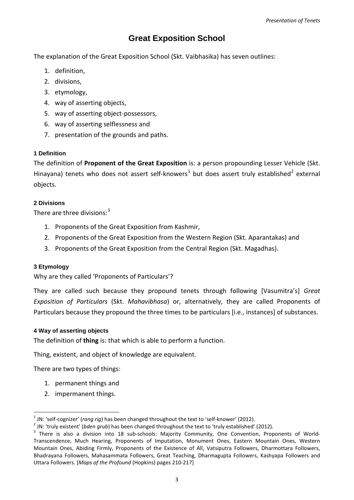# **Great Exposition School**

<span id="page-4-0"></span>The explanation of the Great Exposition School (Skt. Vaibhasika) has seven outlines:

- 1. definition,
- 2. divisions,
- 3. etymology,
- 4. way of asserting objects,
- 5. way of asserting object-possessors,
- 6. way of asserting selflessness and
- 7. presentation of the grounds and paths.

# <span id="page-4-1"></span>**1 Definition**

The definition of **Proponent of the Great Exposition** is: a person propounding Lesser Vehicle (Skt. Hinayana) tenets who does not assert self-knowers<sup>[1](#page-4-5)</sup> but does assert truly established<sup>[2](#page-4-6)</sup> external objects.

# <span id="page-4-2"></span>**2 Divisions**

There are three divisions:<sup>[3](#page-4-7)</sup>

- 1. Proponents of the Great Exposition from Kashmir,
- 2. Proponents of the Great Exposition from the Western Region (Skt. Aparantakas) and
- 3. Proponents of the Great Exposition from the Central Region (Skt. Magadhas).

# <span id="page-4-3"></span>**3 Etymology**

-

Why are they called 'Proponents of Particulars'?

They are called such because they propound tenets through following [Vasumitra's] *Great Exposition of Particulars* (Skt. *Mahavibhasa*) or, alternatively, they are called Proponents of Particulars because they propound the three times to be particulars [i.e., instances] of substances.

# <span id="page-4-4"></span>**4 Way of asserting objects**

The definition of **thing** is: that which is able to perform a function.

Thing, existent, and object of knowledge are equivalent.

There are two types of things:

- 1. permanent things and
- 2. impermanent things.

<span id="page-4-7"></span><span id="page-4-6"></span>

<span id="page-4-5"></span><sup>&</sup>lt;sup>1</sup> JN: 'self-cognizer' (rang rig) has been changed throughout the text to 'self-knower' (2012).<br><sup>2</sup> JN: 'truly existent' (*bden grub*) has been changed throughout the text to 'truly established' (2012).<br><sup>3</sup> There is also Transcendence, Much Hearing, Proponents of Imputation, Monument Ones, Eastern Mountain Ones, Western Mountain Ones, Abiding Firmly, Proponents of the Existence of All, Vatsiputra Followers, Dharmottara Followers, Bhadrayana Followers, Mahasammata Followers, Great Teaching, Dharmagupta Followers, Kashyapa Followers and Uttara Followers. [*Maps of the Profound* (Hopkins) pages 210-217]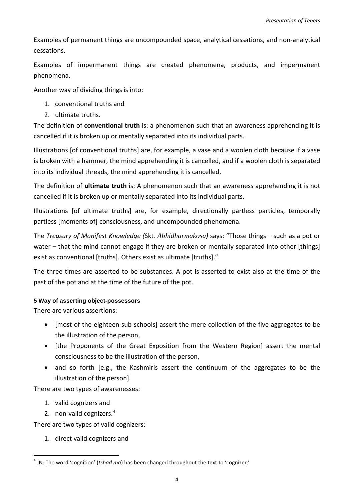Examples of permanent things are uncompounded space, analytical cessations, and non-analytical cessations.

Examples of impermanent things are created phenomena, products, and impermanent phenomena.

Another way of dividing things is into:

- 1. conventional truths and
- 2. ultimate truths.

The definition of **conventional truth** is: a phenomenon such that an awareness apprehending it is cancelled if it is broken up or mentally separated into its individual parts.

Illustrations [of conventional truths] are, for example, a vase and a woolen cloth because if a vase is broken with a hammer, the mind apprehending it is cancelled, and if a woolen cloth is separated into its individual threads, the mind apprehending it is cancelled.

The definition of **ultimate truth** is: A phenomenon such that an awareness apprehending it is not cancelled if it is broken up or mentally separated into its individual parts.

Illustrations [of ultimate truths] are, for example, directionally partless particles, temporally partless [moments of] consciousness, and uncompounded phenomena.

The *Treasury of Manifest Knowledge (*Skt*. Abhidharmakosa)* says: "Those things – such as a pot or water – that the mind cannot engage if they are broken or mentally separated into other [things] exist as conventional [truths]. Others exist as ultimate [truths]."

The three times are asserted to be substances. A pot is asserted to exist also at the time of the past of the pot and at the time of the future of the pot.

# <span id="page-5-0"></span>**5 Way of asserting object-possessors**

There are various assertions:

- [most of the eighteen sub-schools] assert the mere collection of the five aggregates to be the illustration of the person,
- [the Proponents of the Great Exposition from the Western Region] assert the mental consciousness to be the illustration of the person,
- and so forth [e.g., the Kashmiris assert the continuum of the aggregates to be the illustration of the person].

There are two types of awarenesses:

1. valid cognizers and

-

2. non-valid cognizers.<sup>[4](#page-5-1)</sup>

There are two types of valid cognizers:

1. direct valid cognizers and

<span id="page-5-1"></span><sup>4</sup> JN: The word 'cognition' (*tshad ma*) has been changed throughout the text to 'cognizer.'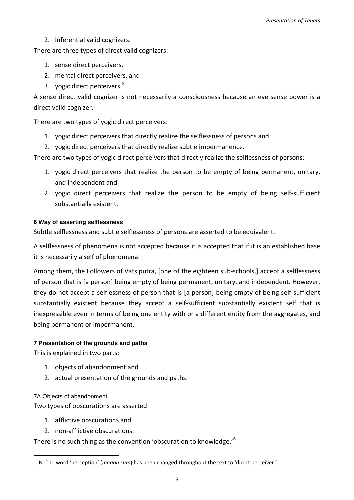2. inferential valid cognizers.

There are three types of direct valid cognizers:

- 1. sense direct perceivers,
- 2. mental direct perceivers, and
- 3. yogic direct perceivers. [5](#page-6-3)

A sense direct valid cognizer is not necessarily a consciousness because an eye sense power is a direct valid cognizer.

There are two types of yogic direct perceivers:

- 1. yogic direct perceivers that directly realize the selflessness of persons and
- 2. yogic direct perceivers that directly realize subtle impermanence.

There are two types of yogic direct perceivers that directly realize the selflessness of persons:

- 1. yogic direct perceivers that realize the person to be empty of being permanent, unitary, and independent and
- 2. yogic direct perceivers that realize the person to be empty of being self-sufficient substantially existent.

### <span id="page-6-0"></span>**6 Way of asserting selflessness**

Subtle selflessness and subtle selflessness of persons are asserted to be equivalent.

A selflessness of phenomena is not accepted because it is accepted that if it is an established base it is necessarily a self of phenomena.

Among them, the Followers of Vatsiputra, [one of the eighteen sub-schools,] accept a selflessness of person that is [a person] being empty of being permanent, unitary, and independent. However, they do not accept a selflessness of person that is [a person] being empty of being self-sufficient substantially existent because they accept a self-sufficient substantially existent self that is inexpressible even in terms of being one entity with or a different entity from the aggregates, and being permanent or impermanent.

# <span id="page-6-1"></span>**7 Presentation of the grounds and paths**

This is explained in two parts:

- 1. objects of abandonment and
- 2. actual presentation of the grounds and paths.

<span id="page-6-2"></span>7A Objects of abandonment

-

Two types of obscurations are asserted:

- 1. afflictive obscurations and
- 2. non-afflictive obscurations.

<span id="page-6-4"></span>There is no such thing as the convention 'obscuration to knowledge.'<sup>[6](#page-6-4)</sup>

<span id="page-6-3"></span><sup>5</sup> JN: The word 'perception' (*mngon sum*) has been changed throughout the text to 'direct perceiver.'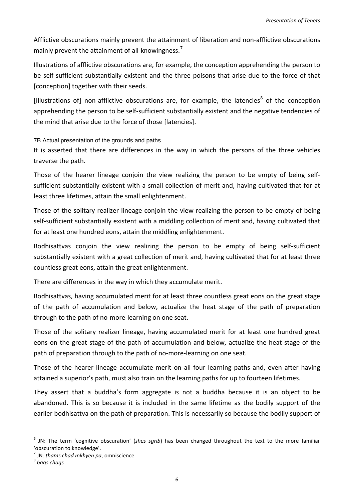Afflictive obscurations mainly prevent the attainment of liberation and non-afflictive obscurations mainly prevent the attainment of all-knowingness.<sup>[7](#page-7-1)</sup>

Illustrations of afflictive obscurations are, for example, the conception apprehending the person to be self-sufficient substantially existent and the three poisons that arise due to the force of that [conception] together with their seeds.

[Illustrations of] non-afflictive obscurations are, for example, the latencies<sup>[8](#page-7-2)</sup> of the conception apprehending the person to be self-sufficient substantially existent and the negative tendencies of the mind that arise due to the force of those [latencies].

<span id="page-7-0"></span>7B Actual presentation of the grounds and paths

It is asserted that there are differences in the way in which the persons of the three vehicles traverse the path.

Those of the hearer lineage conjoin the view realizing the person to be empty of being selfsufficient substantially existent with a small collection of merit and, having cultivated that for at least three lifetimes, attain the small enlightenment.

Those of the solitary realizer lineage conjoin the view realizing the person to be empty of being self-sufficient substantially existent with a middling collection of merit and, having cultivated that for at least one hundred eons, attain the middling enlightenment.

Bodhisattvas conjoin the view realizing the person to be empty of being self-sufficient substantially existent with a great collection of merit and, having cultivated that for at least three countless great eons, attain the great enlightenment.

There are differences in the way in which they accumulate merit.

Bodhisattvas, having accumulated merit for at least three countless great eons on the great stage of the path of accumulation and below, actualize the heat stage of the path of preparation through to the path of no-more-learning on one seat.

Those of the solitary realizer lineage, having accumulated merit for at least one hundred great eons on the great stage of the path of accumulation and below, actualize the heat stage of the path of preparation through to the path of no-more-learning on one seat.

Those of the hearer lineage accumulate merit on all four learning paths and, even after having attained a superior's path, must also train on the learning paths for up to fourteen lifetimes.

They assert that a buddha's form aggregate is not a buddha because it is an object to be abandoned. This is so because it is included in the same lifetime as the bodily support of the earlier bodhisattva on the path of preparation. This is necessarily so because the bodily support of

-

<sup>6</sup> JN: The term 'cognitive obscuration' (*shes sgrib*) has been changed throughout the text to the more familiar 'obscuration to knowledge'.

<span id="page-7-2"></span><span id="page-7-1"></span><sup>7</sup> JN: *thams chad mkhyen pa*, omniscience. <sup>8</sup> *bags chags*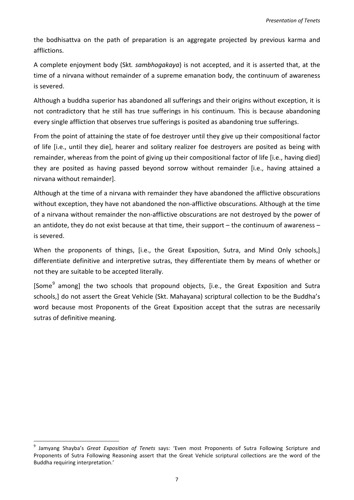the bodhisattva on the path of preparation is an aggregate projected by previous karma and afflictions.

A complete enjoyment body (Skt*. sambhogakaya*) is not accepted, and it is asserted that, at the time of a nirvana without remainder of a supreme emanation body, the continuum of awareness is severed.

Although a buddha superior has abandoned all sufferings and their origins without exception, it is not contradictory that he still has true sufferings in his continuum. This is because abandoning every single affliction that observes true sufferings is posited as abandoning true sufferings.

From the point of attaining the state of foe destroyer until they give up their compositional factor of life [i.e., until they die], hearer and solitary realizer foe destroyers are posited as being with remainder, whereas from the point of giving up their compositional factor of life [i.e., having died] they are posited as having passed beyond sorrow without remainder [i.e., having attained a nirvana without remainder].

Although at the time of a nirvana with remainder they have abandoned the afflictive obscurations without exception, they have not abandoned the non-afflictive obscurations. Although at the time of a nirvana without remainder the non-afflictive obscurations are not destroyed by the power of an antidote, they do not exist because at that time, their support – the continuum of awareness – is severed.

When the proponents of things, [i.e., the Great Exposition, Sutra, and Mind Only schools,] differentiate definitive and interpretive sutras, they differentiate them by means of whether or not they are suitable to be accepted literally.

[Some<sup>[9](#page-8-0)</sup> among] the two schools that propound objects, [i.e., the Great Exposition and Sutra schools,] do not assert the Great Vehicle (Skt. Mahayana) scriptural collection to be the Buddha's word because most Proponents of the Great Exposition accept that the sutras are necessarily sutras of definitive meaning.

<span id="page-8-0"></span><sup>9</sup> Jamyang Shayba's *Great Exposition of Tenets* says: 'Even most Proponents of Sutra Following Scripture and Proponents of Sutra Following Reasoning assert that the Great Vehicle scriptural collections are the word of the Buddha requiring interpretation.' -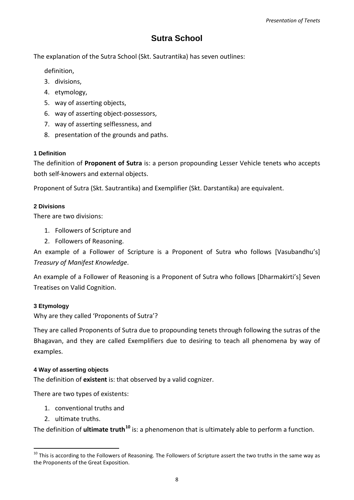# **Sutra School**

<span id="page-9-0"></span>The explanation of the Sutra School (Skt. Sautrantika) has seven outlines:

definition,

- 3. divisions,
- 4. etymology,
- 5. way of asserting objects,
- 6. way of asserting object-possessors,
- 7. way of asserting selflessness, and
- 8. presentation of the grounds and paths.

# <span id="page-9-1"></span>**1 Definition**

The definition of **Proponent of Sutra** is: a person propounding Lesser Vehicle tenets who accepts both self-knowers and external objects.

Proponent of Sutra (Skt. Sautrantika) and Exemplifier (Skt. Darstantika) are equivalent.

# <span id="page-9-2"></span>**2 Divisions**

There are two divisions:

- 1. Followers of Scripture and
- 2. Followers of Reasoning.

An example of a Follower of Scripture is a Proponent of Sutra who follows [Vasubandhu's] *Treasury of Manifest Knowledge*.

An example of a Follower of Reasoning is a Proponent of Sutra who follows [Dharmakirti's] Seven Treatises on Valid Cognition.

# <span id="page-9-3"></span>**3 Etymology**

Why are they called 'Proponents of Sutra'?

They are called Proponents of Sutra due to propounding tenets through following the sutras of the Bhagavan, and they are called Exemplifiers due to desiring to teach all phenomena by way of examples.

# <span id="page-9-4"></span>**4 Way of asserting objects**

The definition of **existent** is: that observed by a valid cognizer.

There are two types of existents:

- 1. conventional truths and
- 2. ultimate truths.

1

The definition of **ultimate truth[10](#page-9-5)** is: a phenomenon that is ultimately able to perform a function.

<span id="page-9-5"></span> $10$  This is according to the Followers of Reasoning. The Followers of Scripture assert the two truths in the same way as the Proponents of the Great Exposition.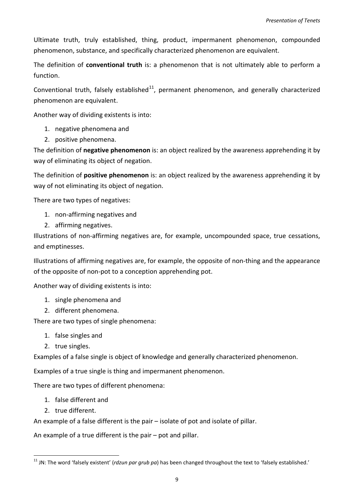Ultimate truth, truly established, thing, product, impermanent phenomenon, compounded phenomenon, substance, and specifically characterized phenomenon are equivalent.

The definition of **conventional truth** is: a phenomenon that is not ultimately able to perform a function.

Conventional truth, falsely established $^{11}$ , permanent phenomenon, and generally characterized phenomenon are equivalent.

Another way of dividing existents is into:

- 1. negative phenomena and
- 2. positive phenomena.

The definition of **negative phenomenon** is: an object realized by the awareness apprehending it by way of eliminating its object of negation.

The definition of **positive phenomenon** is: an object realized by the awareness apprehending it by way of not eliminating its object of negation.

There are two types of negatives:

- 1. non-affirming negatives and
- 2. affirming negatives.

Illustrations of non-affirming negatives are, for example, uncompounded space, true cessations, and emptinesses.

Illustrations of affirming negatives are, for example, the opposite of non-thing and the appearance of the opposite of non-pot to a conception apprehending pot.

Another way of dividing existents is into:

- 1. single phenomena and
- 2. different phenomena.

There are two types of single phenomena:

- 1. false singles and
- 2. true singles.

Examples of a false single is object of knowledge and generally characterized phenomenon.

Examples of a true single is thing and impermanent phenomenon.

There are two types of different phenomena:

- 1. false different and
- 2. true different.

-

An example of a false different is the pair – isolate of pot and isolate of pillar.

An example of a true different is the pair – pot and pillar.

<span id="page-10-0"></span><sup>11</sup> JN: The word 'falsely existent' (*rdzun par grub pa*) has been changed throughout the text to 'falsely established.'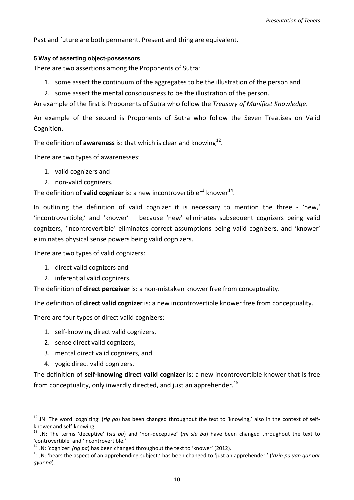Past and future are both permanent. Present and thing are equivalent.

#### <span id="page-11-0"></span>**5 Way of asserting object-possessors**

There are two assertions among the Proponents of Sutra:

- 1. some assert the continuum of the aggregates to be the illustration of the person and
- 2. some assert the mental consciousness to be the illustration of the person.

An example of the first is Proponents of Sutra who follow the *Treasury of Manifest Knowledge*.

An example of the second is Proponents of Sutra who follow the Seven Treatises on Valid Cognition.

The definition of **awareness** is: that which is clear and knowing<sup>12</sup>.

There are two types of awarenesses:

- 1. valid cognizers and
- 2. non-valid cognizers.

The definition of **valid cognizer** is: a new incontrovertible<sup>[13](#page-11-2)</sup> knower<sup>14</sup>.

In outlining the definition of valid cognizer it is necessary to mention the three - 'new,' 'incontrovertible,' and 'knower' – because 'new' eliminates subsequent cognizers being valid cognizers, 'incontrovertible' eliminates correct assumptions being valid cognizers, and 'knower' eliminates physical sense powers being valid cognizers.

There are two types of valid cognizers:

- 1. direct valid cognizers and
- 2. inferential valid cognizers.

The definition of **direct perceiver** is: a non-mistaken knower free from conceptuality.

The definition of **direct valid cognizer** is: a new incontrovertible knower free from conceptuality.

There are four types of direct valid cognizers:

- 1. self-knowing direct valid cognizers,
- 2. sense direct valid cognizers,
- 3. mental direct valid cognizers, and
- 4. yogic direct valid cognizers.

-

The definition of **self-knowing direct valid cognizer** is: a new incontrovertible knower that is free from conceptuality, only inwardly directed, and just an apprehender.<sup>[15](#page-11-4)</sup>

<span id="page-11-1"></span><sup>12</sup> JN: The word 'cognizing' (*rig pa*) has been changed throughout the text to 'knowing,' also in the context of selfknower and self-knowing.<br><sup>13</sup> JN: The terms 'deceptive' (*slu ba*) and 'non-deceptive' (*mi slu ba*) have been changed throughout the text to

<span id="page-11-2"></span><sup>&#</sup>x27;controvertible' and 'incontrovertible.'<br> $14$  JN: 'cognizer' (riq pa) has been changed throughout the text to 'knower' (2012).

<span id="page-11-4"></span><span id="page-11-3"></span><sup>&</sup>lt;sup>15</sup> JN: 'bears the aspect of an apprehending-subject.' has been changed to 'just an apprehender.' ('*dzin pa yan gar bar gyur pa*).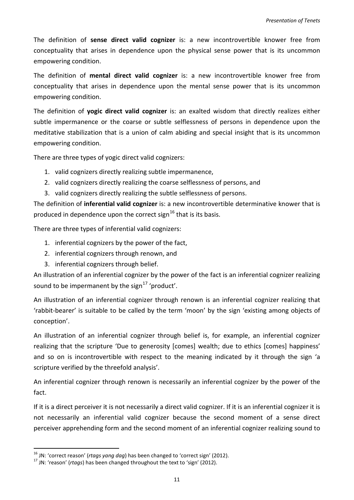The definition of **sense direct valid cognizer** is: a new incontrovertible knower free from conceptuality that arises in dependence upon the physical sense power that is its uncommon empowering condition.

The definition of **mental direct valid cognizer** is: a new incontrovertible knower free from conceptuality that arises in dependence upon the mental sense power that is its uncommon empowering condition.

The definition of **yogic direct valid cognizer** is: an exalted wisdom that directly realizes either subtle impermanence or the coarse or subtle selflessness of persons in dependence upon the meditative stabilization that is a union of calm abiding and special insight that is its uncommon empowering condition.

There are three types of yogic direct valid cognizers:

- 1. valid cognizers directly realizing subtle impermanence,
- 2. valid cognizers directly realizing the coarse selflessness of persons, and
- 3. valid cognizers directly realizing the subtle selflessness of persons.

The definition of **inferential valid cognizer** is: a new incontrovertible determinative knower that is produced in dependence upon the correct sign<sup>[16](#page-12-0)</sup> that is its basis.

There are three types of inferential valid cognizers:

- 1. inferential cognizers by the power of the fact,
- 2. inferential cognizers through renown, and
- 3. inferential cognizers through belief.

An illustration of an inferential cognizer by the power of the fact is an inferential cognizer realizing sound to be impermanent by the sign<sup>[17](#page-12-1)</sup> 'product'.

An illustration of an inferential cognizer through renown is an inferential cognizer realizing that 'rabbit-bearer' is suitable to be called by the term 'moon' by the sign 'existing among objects of conception'.

An illustration of an inferential cognizer through belief is, for example, an inferential cognizer realizing that the scripture 'Due to generosity [comes] wealth; due to ethics [comes] happiness' and so on is incontrovertible with respect to the meaning indicated by it through the sign 'a scripture verified by the threefold analysis'.

An inferential cognizer through renown is necessarily an inferential cognizer by the power of the fact.

If it is a direct perceiver it is not necessarily a direct valid cognizer. If it is an inferential cognizer it is not necessarily an inferential valid cognizer because the second moment of a sense direct perceiver apprehending form and the second moment of an inferential cognizer realizing sound to

1

<span id="page-12-1"></span><span id="page-12-0"></span><sup>&</sup>lt;sup>16</sup> JN: 'correct reason' (*rtags yang dag*) has been changed to 'correct sign' (2012).<br><sup>17</sup> JN: 'reason' (*rtags*) has been changed throughout the text to 'sign' (2012).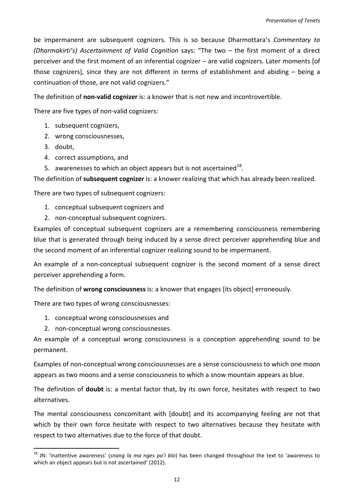be impermanent are subsequent cognizers. This is so because Dharmottara's *Commentary to (Dharmakirti's) Ascertainment of Valid Cognition* says: "The two – the first moment of a direct perceiver and the first moment of an inferential cognizer – are valid cognizers. Later moments [of those cognizers], since they are not different in terms of establishment and abiding – being a continuation of those, are not valid cognizers."

The definition of **non-valid cognizer** is: a knower that is not new and incontrovertible.

There are five types of non-valid cognizers:

- 1. subsequent cognizers,
- 2. wrong consciousnesses,
- 3. doubt,

1

- 4. correct assumptions, and
- 5. awarenesses to which an object appears but is not ascertained<sup>18</sup>.

The definition of **subsequent cognizer** is: a knower realizing that which has already been realized.

There are two types of subsequent cognizers:

- 1. conceptual subsequent cognizers and
- 2. non-conceptual subsequent cognizers.

Examples of conceptual subsequent cognizers are a remembering consciousness remembering blue that is generated through being induced by a sense direct perceiver apprehending blue and the second moment of an inferential cognizer realizing sound to be impermanent.

An example of a non-conceptual subsequent cognizer is the second moment of a sense direct perceiver apprehending a form.

The definition of **wrong consciousness** is: a knower that engages [its object] erroneously.

There are two types of wrong consciousnesses:

- 1. conceptual wrong consciousnesses and
- 2. non-conceptual wrong consciousnesses.

An example of a conceptual wrong consciousness is a conception apprehending sound to be permanent.

Examples of non-conceptual wrong consciousnesses are a sense consciousness to which one moon appears as two moons and a sense consciousness to which a snow mountain appears as blue.

The definition of **doubt** is: a mental factor that, by its own force, hesitates with respect to two alternatives.

The mental consciousness concomitant with [doubt] and its accompanying feeling are not that which by their own force hesitate with respect to two alternatives because they hesitate with respect to two alternatives due to the force of that doubt.

<span id="page-13-0"></span><sup>18</sup> JN: 'inattentive awareness' (*snang la ma nges pa'i blo*) has been changed throughout the text to 'awareness to which an object appears but is not ascertained' (2012).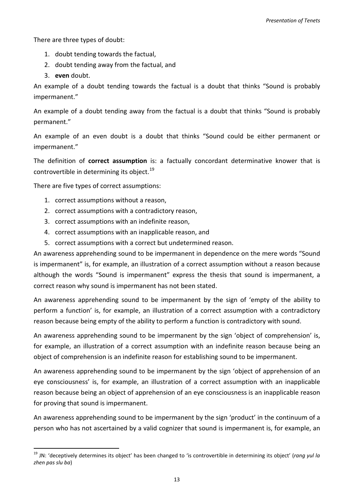There are three types of doubt:

- 1. doubt tending towards the factual,
- 2. doubt tending away from the factual, and
- 3. **even** doubt.

1

An example of a doubt tending towards the factual is a doubt that thinks "Sound is probably impermanent."

An example of a doubt tending away from the factual is a doubt that thinks "Sound is probably permanent."

An example of an even doubt is a doubt that thinks "Sound could be either permanent or impermanent."

The definition of **correct assumption** is: a factually concordant determinative knower that is controvertible in determining its object.<sup>[19](#page-14-0)</sup>

There are five types of correct assumptions:

- 1. correct assumptions without a reason,
- 2. correct assumptions with a contradictory reason,
- 3. correct assumptions with an indefinite reason,
- 4. correct assumptions with an inapplicable reason, and
- 5. correct assumptions with a correct but undetermined reason.

An awareness apprehending sound to be impermanent in dependence on the mere words "Sound is impermanent" is, for example, an illustration of a correct assumption without a reason because although the words "Sound is impermanent" express the thesis that sound is impermanent, a correct reason why sound is impermanent has not been stated.

An awareness apprehending sound to be impermanent by the sign of 'empty of the ability to perform a function' is, for example, an illustration of a correct assumption with a contradictory reason because being empty of the ability to perform a function is contradictory with sound.

An awareness apprehending sound to be impermanent by the sign 'object of comprehension' is, for example, an illustration of a correct assumption with an indefinite reason because being an object of comprehension is an indefinite reason for establishing sound to be impermanent.

An awareness apprehending sound to be impermanent by the sign 'object of apprehension of an eye consciousness' is, for example, an illustration of a correct assumption with an inapplicable reason because being an object of apprehension of an eye consciousness is an inapplicable reason for proving that sound is impermanent.

An awareness apprehending sound to be impermanent by the sign 'product' in the continuum of a person who has not ascertained by a valid cognizer that sound is impermanent is, for example, an

<span id="page-14-0"></span><sup>19</sup> JN: 'deceptively determines its object' has been changed to 'is controvertible in determining its object' (*rang yul la zhen pas slu ba*)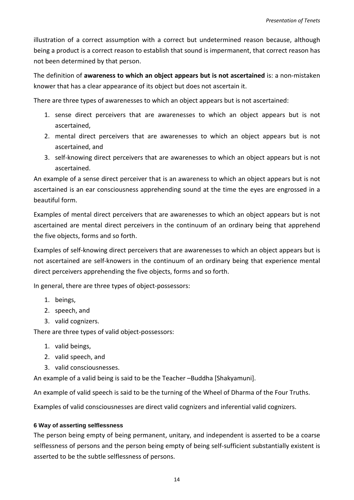illustration of a correct assumption with a correct but undetermined reason because, although being a product is a correct reason to establish that sound is impermanent, that correct reason has not been determined by that person.

The definition of **awareness to which an object appears but is not ascertained** is: a non-mistaken knower that has a clear appearance of its object but does not ascertain it.

There are three types of awarenesses to which an object appears but is not ascertained:

- 1. sense direct perceivers that are awarenesses to which an object appears but is not ascertained,
- 2. mental direct perceivers that are awarenesses to which an object appears but is not ascertained, and
- 3. self-knowing direct perceivers that are awarenesses to which an object appears but is not ascertained.

An example of a sense direct perceiver that is an awareness to which an object appears but is not ascertained is an ear consciousness apprehending sound at the time the eyes are engrossed in a beautiful form.

Examples of mental direct perceivers that are awarenesses to which an object appears but is not ascertained are mental direct perceivers in the continuum of an ordinary being that apprehend the five objects, forms and so forth.

Examples of self-knowing direct perceivers that are awarenesses to which an object appears but is not ascertained are self-knowers in the continuum of an ordinary being that experience mental direct perceivers apprehending the five objects, forms and so forth.

In general, there are three types of object-possessors:

- 1. beings,
- 2. speech, and
- 3. valid cognizers.

There are three types of valid object-possessors:

- 1. valid beings,
- 2. valid speech, and
- 3. valid consciousnesses.

An example of a valid being is said to be the Teacher –Buddha [Shakyamuni].

An example of valid speech is said to be the turning of the Wheel of Dharma of the Four Truths.

Examples of valid consciousnesses are direct valid cognizers and inferential valid cognizers.

### <span id="page-15-0"></span>**6 Way of asserting selflessness**

The person being empty of being permanent, unitary, and independent is asserted to be a coarse selflessness of persons and the person being empty of being self-sufficient substantially existent is asserted to be the subtle selflessness of persons.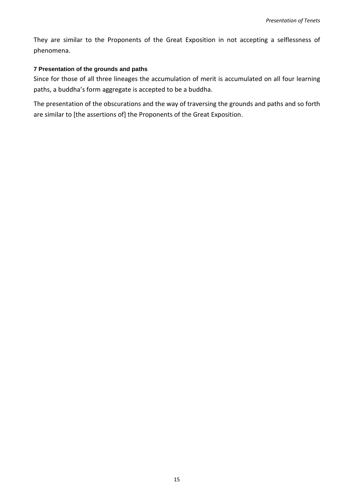They are similar to the Proponents of the Great Exposition in not accepting a selflessness of phenomena.

# <span id="page-16-0"></span>**7 Presentation of the grounds and paths**

Since for those of all three lineages the accumulation of merit is accumulated on all four learning paths, a buddha's form aggregate is accepted to be a buddha.

The presentation of the obscurations and the way of traversing the grounds and paths and so forth are similar to [the assertions of] the Proponents of the Great Exposition.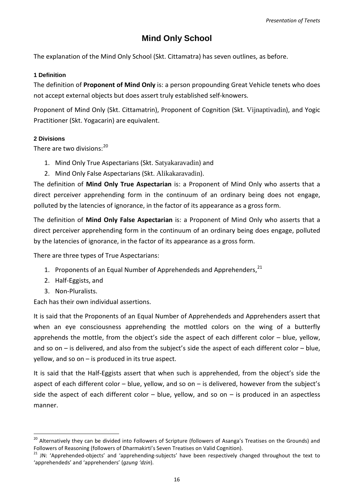# **Mind Only School**

<span id="page-17-0"></span>The explanation of the Mind Only School (Skt. Cittamatra) has seven outlines, as before.

### <span id="page-17-1"></span>**1 Definition**

The definition of **Proponent of Mind Only** is: a person propounding Great Vehicle tenets who does not accept external objects but does assert truly established self-knowers.

Proponent of Mind Only (Skt. Cittamatrin), Proponent of Cognition (Skt. Vijnaptivadin), and Yogic Practitioner (Skt. Yogacarin) are equivalent.

### <span id="page-17-2"></span>**2 Divisions**

There are two divisions: $^{20}$  $^{20}$  $^{20}$ 

- 1. Mind Only True Aspectarians (Skt. Satyakaravadin) and
- 2. Mind Only False Aspectarians (Skt. Alikakaravadin).

The definition of **Mind Only True Aspectarian** is: a Proponent of Mind Only who asserts that a direct perceiver apprehending form in the continuum of an ordinary being does not engage, polluted by the latencies of ignorance, in the factor of its appearance as a gross form.

The definition of **Mind Only False Aspectarian** is: a Proponent of Mind Only who asserts that a direct perceiver apprehending form in the continuum of an ordinary being does engage, polluted by the latencies of ignorance, in the factor of its appearance as a gross form.

There are three types of True Aspectarians:

- 1. Proponents of an Equal Number of Apprehendeds and Apprehenders,<sup>[21](#page-17-4)</sup>
- 2. Half-Eggists, and
- 3. Non-Pluralists.

-

Each has their own individual assertions.

It is said that the Proponents of an Equal Number of Apprehendeds and Apprehenders assert that when an eye consciousness apprehending the mottled colors on the wing of a butterfly apprehends the mottle, from the object's side the aspect of each different color – blue, yellow, and so on – is delivered, and also from the subject's side the aspect of each different color – blue, yellow, and so on – is produced in its true aspect.

It is said that the Half-Eggists assert that when such is apprehended, from the object's side the aspect of each different color – blue, yellow, and so on – is delivered, however from the subject's side the aspect of each different color  $-$  blue, yellow, and so on  $-$  is produced in an aspectless manner.

<span id="page-17-3"></span><sup>&</sup>lt;sup>20</sup> Alternatively they can be divided into Followers of Scripture (followers of Asanga's Treatises on the Grounds) and<br>Followers of Reasoning (followers of Dharmakirti's Seven Treatises on Valid Cognition).

<span id="page-17-4"></span><sup>&</sup>lt;sup>21</sup> JN: 'Apprehended-objects' and 'apprehending-subjects' have been respectively changed throughout the text to 'apprehendeds' and 'apprehenders' (*gzung 'dzin*).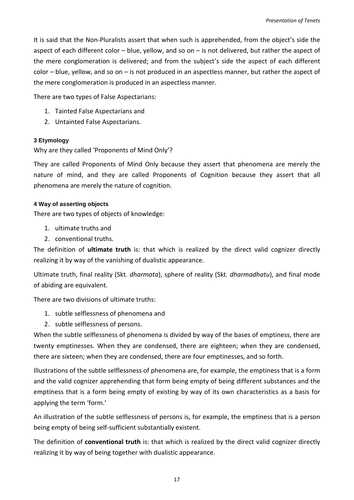It is said that the Non-Pluralists assert that when such is apprehended, from the object's side the aspect of each different color – blue, yellow, and so on – is not delivered, but rather the aspect of the mere conglomeration is delivered; and from the subject's side the aspect of each different color – blue, yellow, and so on – is not produced in an aspectless manner, but rather the aspect of the mere conglomeration is produced in an aspectless manner.

There are two types of False Aspectarians:

- 1. Tainted False Aspectarians and
- 2. Untainted False Aspectarians.

# <span id="page-18-0"></span>**3 Etymology**

Why are they called 'Proponents of Mind Only'?

They are called Proponents of Mind Only because they assert that phenomena are merely the nature of mind, and they are called Proponents of Cognition because they assert that all phenomena are merely the nature of cognition.

# <span id="page-18-1"></span>**4 Way of asserting objects**

There are two types of objects of knowledge:

- 1. ultimate truths and
- 2. conventional truths.

The definition of **ultimate truth** is: that which is realized by the direct valid cognizer directly realizing it by way of the vanishing of dualistic appearance.

Ultimate truth, final reality (Skt*. dharmata*), sphere of reality (Skt*. dharmadhatu*), and final mode of abiding are equivalent.

There are two divisions of ultimate truths:

- 1. subtle selflessness of phenomena and
- 2. subtle selflessness of persons.

When the subtle selflessness of phenomena is divided by way of the bases of emptiness, there are twenty emptinesses. When they are condensed, there are eighteen; when they are condensed, there are sixteen; when they are condensed, there are four emptinesses, and so forth.

Illustrations of the subtle selflessness of phenomena are, for example, the emptiness that is a form and the valid cognizer apprehending that form being empty of being different substances and the emptiness that is a form being empty of existing by way of its own characteristics as a basis for applying the term 'form.'

An illustration of the subtle selflessness of persons is, for example, the emptiness that is a person being empty of being self-sufficient substantially existent.

The definition of **conventional truth** is: that which is realized by the direct valid cognizer directly realizing it by way of being together with dualistic appearance.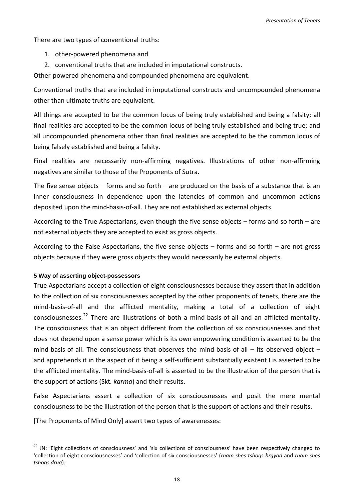There are two types of conventional truths:

- 1. other-powered phenomena and
- 2. conventional truths that are included in imputational constructs.

Other-powered phenomena and compounded phenomena are equivalent.

Conventional truths that are included in imputational constructs and uncompounded phenomena other than ultimate truths are equivalent.

All things are accepted to be the common locus of being truly established and being a falsity; all final realities are accepted to be the common locus of being truly established and being true; and all uncompounded phenomena other than final realities are accepted to be the common locus of being falsely established and being a falsity.

Final realities are necessarily non-affirming negatives. Illustrations of other non-affirming negatives are similar to those of the Proponents of Sutra.

The five sense objects  $-$  forms and so forth  $-$  are produced on the basis of a substance that is an inner consciousness in dependence upon the latencies of common and uncommon actions deposited upon the mind-basis-of-all. They are not established as external objects.

According to the True Aspectarians, even though the five sense objects – forms and so forth – are not external objects they are accepted to exist as gross objects.

According to the False Aspectarians, the five sense objects – forms and so forth – are not gross objects because if they were gross objects they would necessarily be external objects.

# <span id="page-19-0"></span>**5 Way of asserting object-possessors**

True Aspectarians accept a collection of eight consciousnesses because they assert that in addition to the collection of six consciousnesses accepted by the other proponents of tenets, there are the mind-basis-of-all and the afflicted mentality, making a total of a collection of eight consciousnesses.<sup>[22](#page-19-1)</sup> There are illustrations of both a mind-basis-of-all and an afflicted mentality. The consciousness that is an object different from the collection of six consciousnesses and that does not depend upon a sense power which is its own empowering condition is asserted to be the mind-basis-of-all. The consciousness that observes the mind-basis-of-all – its observed object – and apprehends it in the aspect of it being a self-sufficient substantially existent I is asserted to be the afflicted mentality. The mind-basis-of-all is asserted to be the illustration of the person that is the support of actions (Skt*. karma*) and their results.

False Aspectarians assert a collection of six consciousnesses and posit the mere mental consciousness to be the illustration of the person that is the support of actions and their results.

[The Proponents of Mind Only] assert two types of awarenesses:

<span id="page-19-1"></span> $22$  JN: 'Eight collections of consciousness' and 'six collections of consciousness' have been respectively changed to 'collection of eight consciousnesses' and 'collection of six consciousnesses' (*rnam shes tshogs brgyad* and *rnam shes tshogs drug*). -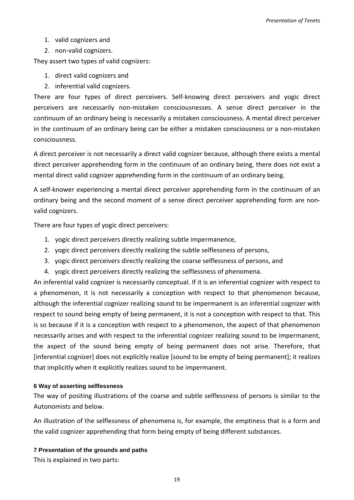- 1. valid cognizers and
- 2. non-valid cognizers.

They assert two types of valid cognizers:

- 1. direct valid cognizers and
- 2. inferential valid cognizers.

There are four types of direct perceivers. Self-knowing direct perceivers and yogic direct perceivers are necessarily non-mistaken consciousnesses. A sense direct perceiver in the continuum of an ordinary being is necessarily a mistaken consciousness. A mental direct perceiver in the continuum of an ordinary being can be either a mistaken consciousness or a non-mistaken consciousness.

A direct perceiver is not necessarily a direct valid cognizer because, although there exists a mental direct perceiver apprehending form in the continuum of an ordinary being, there does not exist a mental direct valid cognizer apprehending form in the continuum of an ordinary being.

A self-knower experiencing a mental direct perceiver apprehending form in the continuum of an ordinary being and the second moment of a sense direct perceiver apprehending form are nonvalid cognizers.

There are four types of yogic direct perceivers:

- 1. yogic direct perceivers directly realizing subtle impermanence,
- 2. yogic direct perceivers directly realizing the subtle selflessness of persons,
- 3. yogic direct perceivers directly realizing the coarse selflessness of persons, and
- 4. yogic direct perceivers directly realizing the selflessness of phenomena.

An inferential valid cognizer is necessarily conceptual. If it is an inferential cognizer with respect to a phenomenon, it is not necessarily a conception with respect to that phenomenon because, although the inferential cognizer realizing sound to be impermanent is an inferential cognizer with respect to sound being empty of being permanent, it is not a conception with respect to that. This is so because if it is a conception with respect to a phenomenon, the aspect of that phenomenon necessarily arises and with respect to the inferential cognizer realizing sound to be impermanent, the aspect of the sound being empty of being permanent does not arise. Therefore, that [inferential cognizer] does not explicitly realize [sound to be empty of being permanent]; it realizes that implicitly when it explicitly realizes sound to be impermanent.

#### <span id="page-20-0"></span>**6 Way of asserting selflessness**

The way of positing illustrations of the coarse and subtle selflessness of persons is similar to the Autonomists and below.

An illustration of the selflessness of phenomena is, for example, the emptiness that is a form and the valid cognizer apprehending that form being empty of being different substances.

#### <span id="page-20-1"></span>**7 Presentation of the grounds and paths**

This is explained in two parts: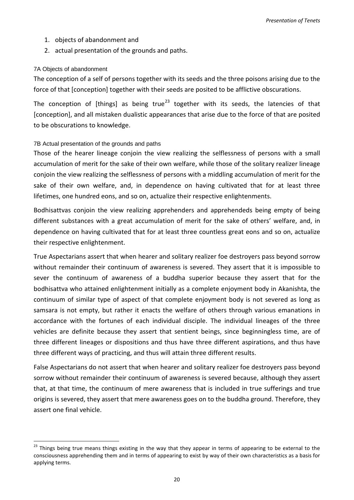- 1. objects of abandonment and
- 2. actual presentation of the grounds and paths.

#### <span id="page-21-0"></span>7A Objects of abandonment

-

The conception of a self of persons together with its seeds and the three poisons arising due to the force of that [conception] together with their seeds are posited to be afflictive obscurations.

The conception of [things] as being true<sup>[23](#page-21-2)</sup> together with its seeds, the latencies of that [conception], and all mistaken dualistic appearances that arise due to the force of that are posited to be obscurations to knowledge.

#### <span id="page-21-1"></span>7B Actual presentation of the grounds and paths

Those of the hearer lineage conjoin the view realizing the selflessness of persons with a small accumulation of merit for the sake of their own welfare, while those of the solitary realizer lineage conjoin the view realizing the selflessness of persons with a middling accumulation of merit for the sake of their own welfare, and, in dependence on having cultivated that for at least three lifetimes, one hundred eons, and so on, actualize their respective enlightenments.

Bodhisattvas conjoin the view realizing apprehenders and apprehendeds being empty of being different substances with a great accumulation of merit for the sake of others' welfare, and, in dependence on having cultivated that for at least three countless great eons and so on, actualize their respective enlightenment.

True Aspectarians assert that when hearer and solitary realizer foe destroyers pass beyond sorrow without remainder their continuum of awareness is severed. They assert that it is impossible to sever the continuum of awareness of a buddha superior because they assert that for the bodhisattva who attained enlightenment initially as a complete enjoyment body in Akanishta, the continuum of similar type of aspect of that complete enjoyment body is not severed as long as samsara is not empty, but rather it enacts the welfare of others through various emanations in accordance with the fortunes of each individual disciple. The individual lineages of the three vehicles are definite because they assert that sentient beings, since beginningless time, are of three different lineages or dispositions and thus have three different aspirations, and thus have three different ways of practicing, and thus will attain three different results.

False Aspectarians do not assert that when hearer and solitary realizer foe destroyers pass beyond sorrow without remainder their continuum of awareness is severed because, although they assert that, at that time, the continuum of mere awareness that is included in true sufferings and true origins is severed, they assert that mere awareness goes on to the buddha ground. Therefore, they assert one final vehicle.

<span id="page-21-2"></span> $23$  Things being true means things existing in the way that they appear in terms of appearing to be external to the consciousness apprehending them and in terms of appearing to exist by way of their own characteristics as a basis for applying terms.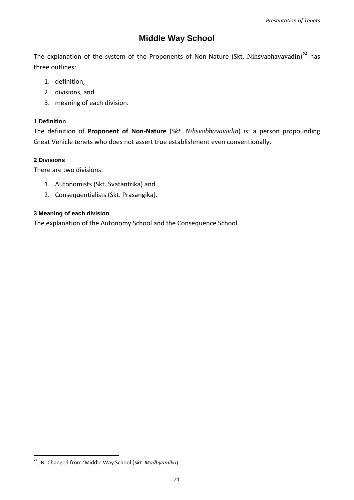# **Middle Way School**

<span id="page-22-0"></span>The explanation of the system of the Proponents of Non-Nature (Skt. Nihsvabhavavadin)<sup>[24](#page-22-4)</sup> has three outlines:

- 1. definition,
- 2. divisions, and
- 3. meaning of each division.

# <span id="page-22-1"></span>**1 Definition**

The definition of **Proponent of Non-Nature** (*Skt. Nihsvabhavavadin*) is: a person propounding Great Vehicle tenets who does not assert true establishment even conventionally.

# <span id="page-22-2"></span>**2 Divisions**

-

There are two divisions:

- 1. Autonomists (Skt. Svatantrika) and
- 2. Consequentialists (Skt. Prasangika).

# <span id="page-22-3"></span>**3 Meaning of each division**

The explanation of the Autonomy School and the Consequence School.

<span id="page-22-4"></span><sup>24</sup> JN: Changed from 'Middle Way School (*Skt. Madhyamika*).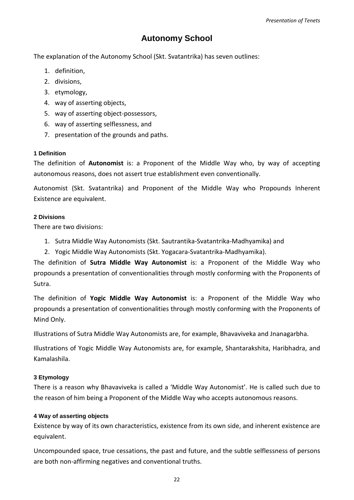# **Autonomy School**

<span id="page-23-0"></span>The explanation of the Autonomy School (Skt. Svatantrika) has seven outlines:

- 1. definition,
- 2. divisions,
- 3. etymology,
- 4. way of asserting objects,
- 5. way of asserting object-possessors,
- 6. way of asserting selflessness, and
- 7. presentation of the grounds and paths.

# <span id="page-23-1"></span>**1 Definition**

The definition of **Autonomist** is: a Proponent of the Middle Way who, by way of accepting autonomous reasons, does not assert true establishment even conventionally.

Autonomist (Skt. Svatantrika) and Proponent of the Middle Way who Propounds Inherent Existence are equivalent.

# <span id="page-23-2"></span>**2 Divisions**

There are two divisions:

- 1. Sutra Middle Way Autonomists (Skt. Sautrantika-Svatantrika-Madhyamika) and
- 2. Yogic Middle Way Autonomists (Skt. Yogacara-Svatantrika-Madhyamika).

The definition of **Sutra Middle Way Autonomist** is: a Proponent of the Middle Way who propounds a presentation of conventionalities through mostly conforming with the Proponents of Sutra.

The definition of **Yogic Middle Way Autonomist** is: a Proponent of the Middle Way who propounds a presentation of conventionalities through mostly conforming with the Proponents of Mind Only.

Illustrations of Sutra Middle Way Autonomists are, for example, Bhavaviveka and Jnanagarbha.

Illustrations of Yogic Middle Way Autonomists are, for example, Shantarakshita, Haribhadra, and Kamalashila.

# <span id="page-23-3"></span>**3 Etymology**

There is a reason why Bhavaviveka is called a 'Middle Way Autonomist'. He is called such due to the reason of him being a Proponent of the Middle Way who accepts autonomous reasons.

# <span id="page-23-4"></span>**4 Way of asserting objects**

Existence by way of its own characteristics, existence from its own side, and inherent existence are equivalent.

Uncompounded space, true cessations, the past and future, and the subtle selflessness of persons are both non-affirming negatives and conventional truths.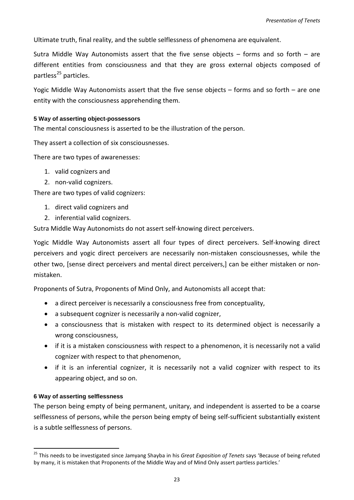Ultimate truth, final reality, and the subtle selflessness of phenomena are equivalent.

Sutra Middle Way Autonomists assert that the five sense objects  $-$  forms and so forth  $-$  are different entities from consciousness and that they are gross external objects composed of partless<sup>[25](#page-24-2)</sup> particles.

Yogic Middle Way Autonomists assert that the five sense objects – forms and so forth – are one entity with the consciousness apprehending them.

#### <span id="page-24-0"></span>**5 Way of asserting object-possessors**

The mental consciousness is asserted to be the illustration of the person.

They assert a collection of six consciousnesses.

There are two types of awarenesses:

- 1. valid cognizers and
- 2. non-valid cognizers.

There are two types of valid cognizers:

- 1. direct valid cognizers and
- 2. inferential valid cognizers.

Sutra Middle Way Autonomists do not assert self-knowing direct perceivers.

Yogic Middle Way Autonomists assert all four types of direct perceivers. Self-knowing direct perceivers and yogic direct perceivers are necessarily non-mistaken consciousnesses, while the other two, [sense direct perceivers and mental direct perceivers,] can be either mistaken or nonmistaken.

Proponents of Sutra, Proponents of Mind Only, and Autonomists all accept that:

- a direct perceiver is necessarily a consciousness free from conceptuality,
- a subsequent cognizer is necessarily a non-valid cognizer,
- a consciousness that is mistaken with respect to its determined object is necessarily a wrong consciousness,
- if it is a mistaken consciousness with respect to a phenomenon, it is necessarily not a valid cognizer with respect to that phenomenon,
- if it is an inferential cognizer, it is necessarily not a valid cognizer with respect to its appearing object, and so on.

#### <span id="page-24-1"></span>**6 Way of asserting selflessness**

1

The person being empty of being permanent, unitary, and independent is asserted to be a coarse selflessness of persons, while the person being empty of being self-sufficient substantially existent is a subtle selflessness of persons.

<span id="page-24-2"></span><sup>25</sup> This needs to be investigated since Jamyang Shayba in his *Great Exposition of Tenets* says 'Because of being refuted by many, it is mistaken that Proponents of the Middle Way and of Mind Only assert partless particles.'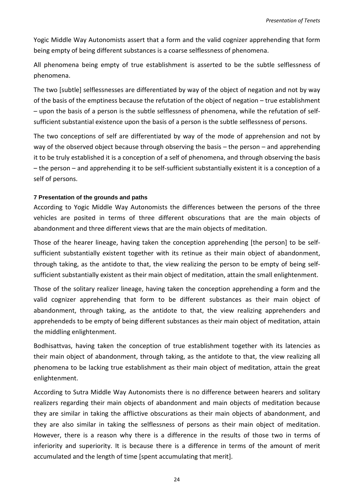Yogic Middle Way Autonomists assert that a form and the valid cognizer apprehending that form being empty of being different substances is a coarse selflessness of phenomena.

All phenomena being empty of true establishment is asserted to be the subtle selflessness of phenomena.

The two [subtle] selflessnesses are differentiated by way of the object of negation and not by way of the basis of the emptiness because the refutation of the object of negation – true establishment – upon the basis of a person is the subtle selflessness of phenomena, while the refutation of selfsufficient substantial existence upon the basis of a person is the subtle selflessness of persons.

The two conceptions of self are differentiated by way of the mode of apprehension and not by way of the observed object because through observing the basis – the person – and apprehending it to be truly established it is a conception of a self of phenomena, and through observing the basis – the person – and apprehending it to be self-sufficient substantially existent it is a conception of a self of persons.

### <span id="page-25-0"></span>**7 Presentation of the grounds and paths**

According to Yogic Middle Way Autonomists the differences between the persons of the three vehicles are posited in terms of three different obscurations that are the main objects of abandonment and three different views that are the main objects of meditation.

Those of the hearer lineage, having taken the conception apprehending [the person] to be selfsufficient substantially existent together with its retinue as their main object of abandonment, through taking, as the antidote to that, the view realizing the person to be empty of being selfsufficient substantially existent as their main object of meditation, attain the small enlightenment.

Those of the solitary realizer lineage, having taken the conception apprehending a form and the valid cognizer apprehending that form to be different substances as their main object of abandonment, through taking, as the antidote to that, the view realizing apprehenders and apprehendeds to be empty of being different substances as their main object of meditation, attain the middling enlightenment.

Bodhisattvas, having taken the conception of true establishment together with its latencies as their main object of abandonment, through taking, as the antidote to that, the view realizing all phenomena to be lacking true establishment as their main object of meditation, attain the great enlightenment.

According to Sutra Middle Way Autonomists there is no difference between hearers and solitary realizers regarding their main objects of abandonment and main objects of meditation because they are similar in taking the afflictive obscurations as their main objects of abandonment, and they are also similar in taking the selflessness of persons as their main object of meditation. However, there is a reason why there is a difference in the results of those two in terms of inferiority and superiority. It is because there is a difference in terms of the amount of merit accumulated and the length of time [spent accumulating that merit].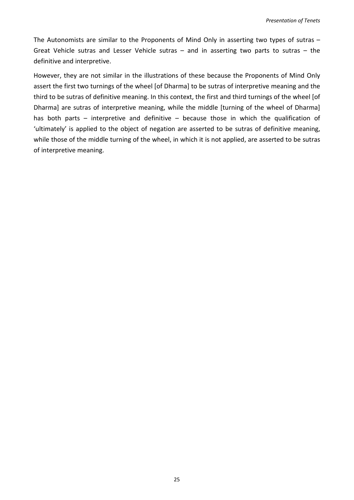The Autonomists are similar to the Proponents of Mind Only in asserting two types of sutras – Great Vehicle sutras and Lesser Vehicle sutras – and in asserting two parts to sutras – the definitive and interpretive.

However, they are not similar in the illustrations of these because the Proponents of Mind Only assert the first two turnings of the wheel [of Dharma] to be sutras of interpretive meaning and the third to be sutras of definitive meaning. In this context, the first and third turnings of the wheel [of Dharma] are sutras of interpretive meaning, while the middle [turning of the wheel of Dharma] has both parts – interpretive and definitive – because those in which the qualification of 'ultimately' is applied to the object of negation are asserted to be sutras of definitive meaning, while those of the middle turning of the wheel, in which it is not applied, are asserted to be sutras of interpretive meaning.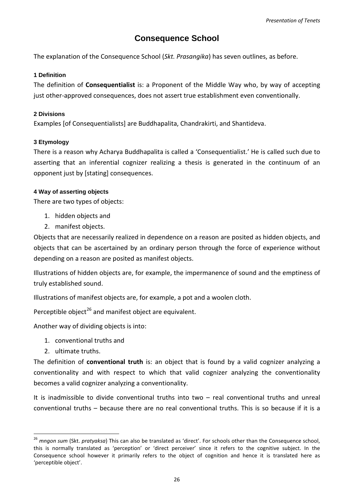# **Consequence School**

<span id="page-27-0"></span>The explanation of the Consequence School (*Skt. Prasangika*) has seven outlines, as before.

### <span id="page-27-1"></span>**1 Definition**

The definition of **Consequentialist** is: a Proponent of the Middle Way who, by way of accepting just other-approved consequences, does not assert true establishment even conventionally.

# <span id="page-27-2"></span>**2 Divisions**

Examples [of Consequentialists] are Buddhapalita, Chandrakirti, and Shantideva.

# <span id="page-27-3"></span>**3 Etymology**

There is a reason why Acharya Buddhapalita is called a 'Consequentialist.' He is called such due to asserting that an inferential cognizer realizing a thesis is generated in the continuum of an opponent just by [stating] consequences.

### <span id="page-27-4"></span>**4 Way of asserting objects**

There are two types of objects:

- 1. hidden objects and
- 2. manifest objects.

Objects that are necessarily realized in dependence on a reason are posited as hidden objects, and objects that can be ascertained by an ordinary person through the force of experience without depending on a reason are posited as manifest objects.

Illustrations of hidden objects are, for example, the impermanence of sound and the emptiness of truly established sound.

Illustrations of manifest objects are, for example, a pot and a woolen cloth.

Perceptible object<sup>[26](#page-27-5)</sup> and manifest object are equivalent.

Another way of dividing objects is into:

- 1. conventional truths and
- 2. ultimate truths.

-

The definition of **conventional truth** is: an object that is found by a valid cognizer analyzing a conventionality and with respect to which that valid cognizer analyzing the conventionality becomes a valid cognizer analyzing a conventionality.

It is inadmissible to divide conventional truths into two – real conventional truths and unreal conventional truths – because there are no real conventional truths. This is so because if it is a

<span id="page-27-5"></span><sup>26</sup> *mngon sum* (Skt. *pratyaksa*) This can also be translated as 'direct'. For schools other than the Consequence school, this is normally translated as 'perception' or 'direct perceiver' since it refers to the cognitive subject. In the Consequence school however it primarily refers to the object of cognition and hence it is translated here as 'perceptible object'.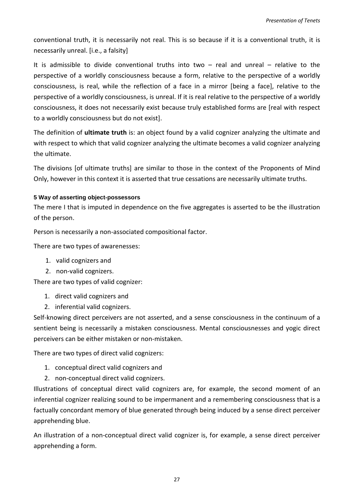conventional truth, it is necessarily not real. This is so because if it is a conventional truth, it is necessarily unreal. [i.e., a falsity]

It is admissible to divide conventional truths into two – real and unreal – relative to the perspective of a worldly consciousness because a form, relative to the perspective of a worldly consciousness, is real, while the reflection of a face in a mirror [being a face], relative to the perspective of a worldly consciousness, is unreal. If it is real relative to the perspective of a worldly consciousness, it does not necessarily exist because truly established forms are [real with respect to a worldly consciousness but do not exist].

The definition of **ultimate truth** is: an object found by a valid cognizer analyzing the ultimate and with respect to which that valid cognizer analyzing the ultimate becomes a valid cognizer analyzing the ultimate.

The divisions [of ultimate truths] are similar to those in the context of the Proponents of Mind Only, however in this context it is asserted that true cessations are necessarily ultimate truths.

# <span id="page-28-0"></span>**5 Way of asserting object-possessors**

The mere I that is imputed in dependence on the five aggregates is asserted to be the illustration of the person.

Person is necessarily a non-associated compositional factor.

There are two types of awarenesses:

- 1. valid cognizers and
- 2. non-valid cognizers.

There are two types of valid cognizer:

- 1. direct valid cognizers and
- 2. inferential valid cognizers.

Self-knowing direct perceivers are not asserted, and a sense consciousness in the continuum of a sentient being is necessarily a mistaken consciousness. Mental consciousnesses and yogic direct perceivers can be either mistaken or non-mistaken.

There are two types of direct valid cognizers:

- 1. conceptual direct valid cognizers and
- 2. non-conceptual direct valid cognizers.

Illustrations of conceptual direct valid cognizers are, for example, the second moment of an inferential cognizer realizing sound to be impermanent and a remembering consciousness that is a factually concordant memory of blue generated through being induced by a sense direct perceiver apprehending blue.

An illustration of a non-conceptual direct valid cognizer is, for example, a sense direct perceiver apprehending a form.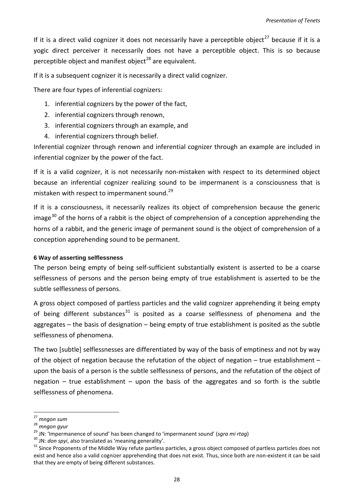If it is a direct valid cognizer it does not necessarily have a perceptible object<sup>[27](#page-29-1)</sup> because if it is a yogic direct perceiver it necessarily does not have a perceptible object. This is so because perceptible object and manifest object<sup>[28](#page-29-2)</sup> are equivalent.

If it is a subsequent cognizer it is necessarily a direct valid cognizer.

There are four types of inferential cognizers:

- 1. inferential cognizers by the power of the fact,
- 2. inferential cognizers through renown,
- 3. inferential cognizers through an example, and
- 4. inferential cognizers through belief.

Inferential cognizer through renown and inferential cognizer through an example are included in inferential cognizer by the power of the fact.

If it is a valid cognizer, it is not necessarily non-mistaken with respect to its determined object because an inferential cognizer realizing sound to be impermanent is a consciousness that is mistaken with respect to impermanent sound.<sup>[29](#page-29-3)</sup>

If it is a consciousness, it necessarily realizes its object of comprehension because the generic image $^{30}$  $^{30}$  $^{30}$  of the horns of a rabbit is the object of comprehension of a conception apprehending the horns of a rabbit, and the generic image of permanent sound is the object of comprehension of a conception apprehending sound to be permanent.

#### <span id="page-29-0"></span>**6 Way of asserting selflessness**

The person being empty of being self-sufficient substantially existent is asserted to be a coarse selflessness of persons and the person being empty of true establishment is asserted to be the subtle selflessness of persons.

A gross object composed of partless particles and the valid cognizer apprehending it being empty of being different substances<sup>[31](#page-29-5)</sup> is posited as a coarse selflessness of phenomena and the aggregates – the basis of designation – being empty of true establishment is posited as the subtle selflessness of phenomena.

The two [subtle] selflessnesses are differentiated by way of the basis of emptiness and not by way of the object of negation because the refutation of the object of negation – true establishment – upon the basis of a person is the subtle selflessness of persons, and the refutation of the object of negation – true establishment – upon the basis of the aggregates and so forth is the subtle selflessness of phenomena.

-

<sup>27</sup> *mngon sum*

<span id="page-29-2"></span><span id="page-29-1"></span><sup>&</sup>lt;sup>28</sup> mngon gyur<br><sup>29</sup> JN: 'Impermanence of sound' has been changed to 'impermanent sound' (sgra mi rtag)

<span id="page-29-5"></span>

<span id="page-29-4"></span><span id="page-29-3"></span> $30$  JN: *don spyi*, also translated as 'meaning generality'.<br> $31$  Since Proponents of the Middle Way refute partless particles, a gross object composed of partless particles does not exist and hence also a valid cognizer apprehending that does not exist. Thus, since both are non-existent it can be said that they are empty of being different substances.